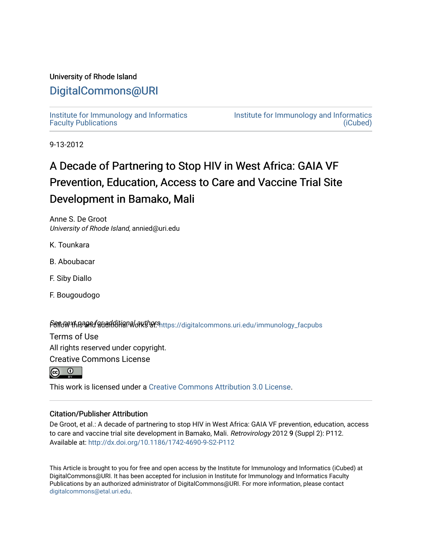### University of Rhode Island

## [DigitalCommons@URI](https://digitalcommons.uri.edu/)

[Institute for Immunology and Informatics](https://digitalcommons.uri.edu/immunology_facpubs) [Faculty Publications](https://digitalcommons.uri.edu/immunology_facpubs)

[Institute for Immunology and Informatics](https://digitalcommons.uri.edu/immunology)  [\(iCubed\)](https://digitalcommons.uri.edu/immunology) 

9-13-2012

## A Decade of Partnering to Stop HIV in West Africa: GAIA VF Prevention, Education, Access to Care and Vaccine Trial Site Development in Bamako, Mali

Anne S. De Groot University of Rhode Island, annied@uri.edu

K. Tounkara

- B. Aboubacar
- F. Siby Diallo
- F. Bougoudogo

Sert of the age for additional authors integrational commons unitedu/immunology\_facpubs

Terms of Use

All rights reserved under copyright.

Creative Commons License



This work is licensed under a [Creative Commons Attribution 3.0 License](https://creativecommons.org/licenses/by/3.0/).

### Citation/Publisher Attribution

De Groot, et al.: A decade of partnering to stop HIV in West Africa: GAIA VF prevention, education, access to care and vaccine trial site development in Bamako, Mali. Retrovirology 2012 9 (Suppl 2): P112. Available at:<http://dx.doi.org/10.1186/1742-4690-9-S2-P112>

This Article is brought to you for free and open access by the Institute for Immunology and Informatics (iCubed) at DigitalCommons@URI. It has been accepted for inclusion in Institute for Immunology and Informatics Faculty Publications by an authorized administrator of DigitalCommons@URI. For more information, please contact [digitalcommons@etal.uri.edu](mailto:digitalcommons@etal.uri.edu).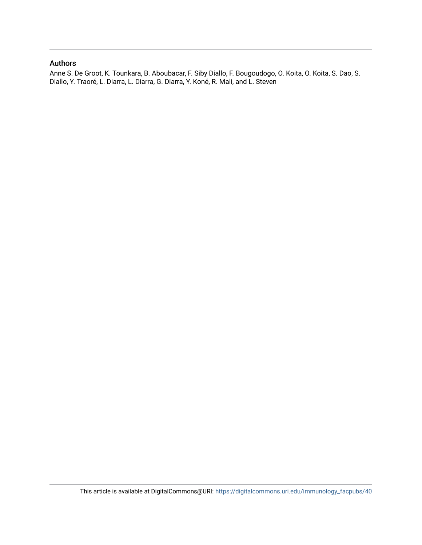### Authors

Anne S. De Groot, K. Tounkara, B. Aboubacar, F. Siby Diallo, F. Bougoudogo, O. Koita, O. Koita, S. Dao, S. Diallo, Y. Traoré, L. Diarra, L. Diarra, G. Diarra, Y. Koné, R. Mali, and L. Steven